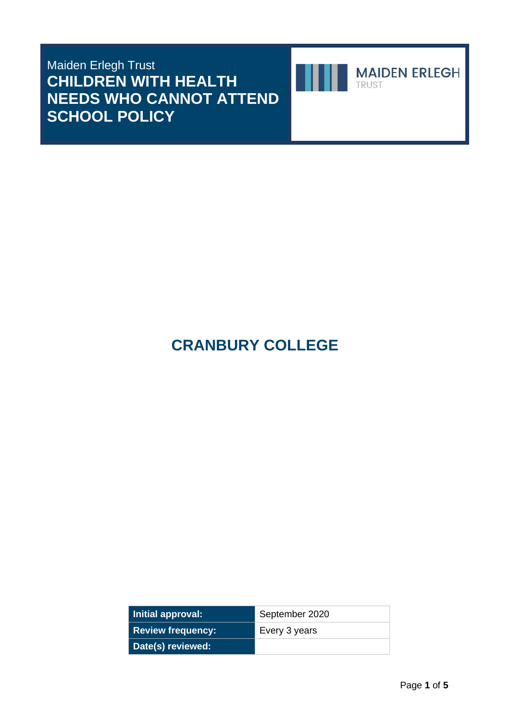Maiden Erlegh Trust **CHILDREN WITH HEALTH NEEDS WHO CANNOT ATTEND SCHOOL POLICY**



**MAIDEN ERLEGH** TRUST

# **CRANBURY COLLEGE**

| Initial approval:   | September 2020 |
|---------------------|----------------|
| Review frequency: ' | Every 3 years  |
| Date(s) reviewed:   |                |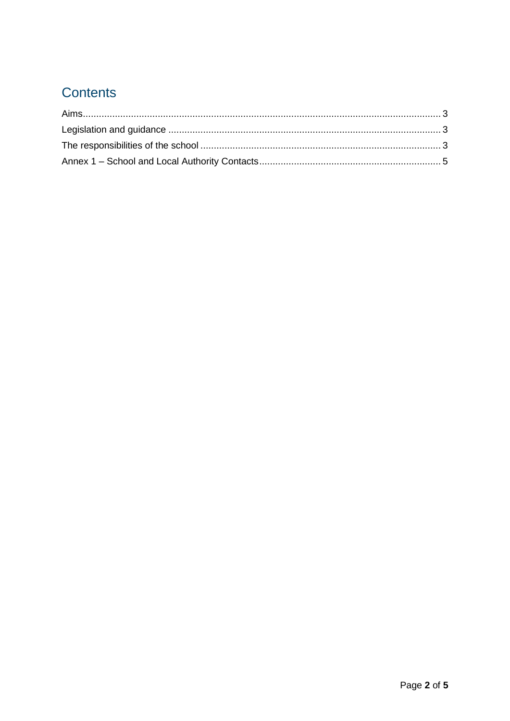## Contents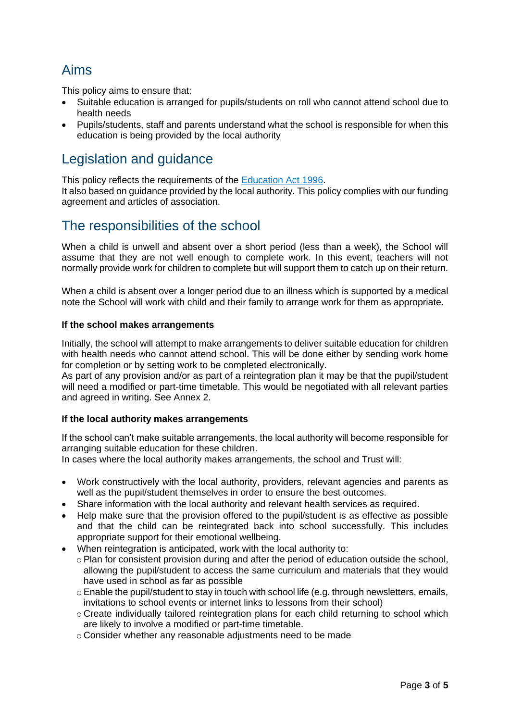### <span id="page-2-0"></span>Aims

This policy aims to ensure that:

- Suitable education is arranged for pupils/students on roll who cannot attend school due to health needs
- Pupils/students, staff and parents understand what the school is responsible for when this education is being provided by the local authority

### <span id="page-2-1"></span>Legislation and guidance

This policy reflects the requirements of the [Education Act 1996.](http://www.legislation.gov.uk/ukpga/1996/56/section/19)

It also based on guidance provided by the local authority. This policy complies with our funding agreement and articles of association.

#### <span id="page-2-2"></span>The responsibilities of the school

When a child is unwell and absent over a short period (less than a week), the School will assume that they are not well enough to complete work. In this event, teachers will not normally provide work for children to complete but will support them to catch up on their return.

When a child is absent over a longer period due to an illness which is supported by a medical note the School will work with child and their family to arrange work for them as appropriate.

#### **If the school makes arrangements**

Initially, the school will attempt to make arrangements to deliver suitable education for children with health needs who cannot attend school. This will be done either by sending work home for completion or by setting work to be completed electronically.

As part of any provision and/or as part of a reintegration plan it may be that the pupil/student will need a modified or part-time timetable. This would be negotiated with all relevant parties and agreed in writing. See Annex 2.

#### **If the local authority makes arrangements**

If the school can't make suitable arrangements, the local authority will become responsible for arranging suitable education for these children.

In cases where the local authority makes arrangements, the school and Trust will:

- Work constructively with the local authority, providers, relevant agencies and parents as well as the pupil/student themselves in order to ensure the best outcomes.
- Share information with the local authority and relevant health services as required.
- Help make sure that the provision offered to the pupil/student is as effective as possible and that the child can be reintegrated back into school successfully. This includes appropriate support for their emotional wellbeing.
- When reintegration is anticipated, work with the local authority to:
	- $\circ$  Plan for consistent provision during and after the period of education outside the school. allowing the pupil/student to access the same curriculum and materials that they would have used in school as far as possible
	- $\circ$  Enable the pupil/student to stay in touch with school life (e.g. through newsletters, emails, invitations to school events or internet links to lessons from their school)
	- o Create individually tailored reintegration plans for each child returning to school which are likely to involve a modified or part-time timetable.
	- o Consider whether any reasonable adjustments need to be made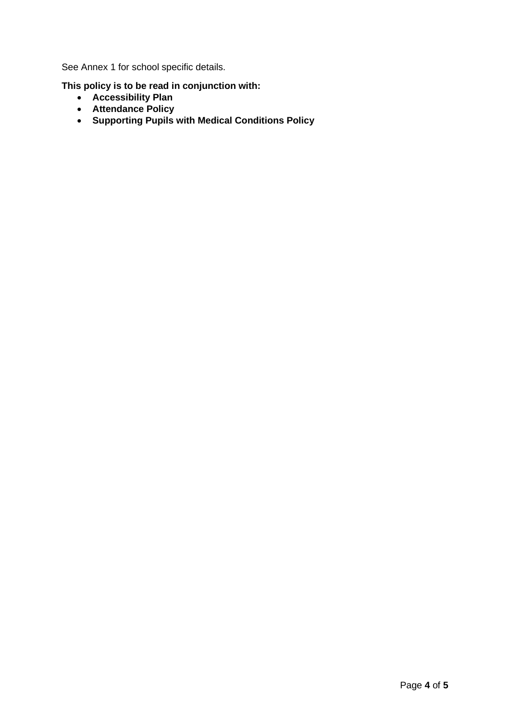See Annex 1 for school specific details.

**This policy is to be read in conjunction with:** 

- **Accessibility Plan**
- **Attendance Policy**
- **Supporting Pupils with Medical Conditions Policy**